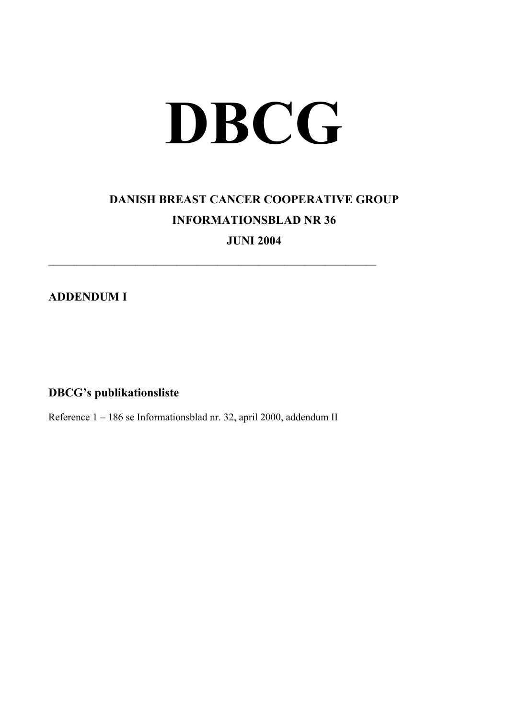## **DBCG**

## **DANISH BREAST CANCER COOPERATIVE GROUP INFORMATIONSBLAD NR 36**

**JUNI 2004** 

 $\mathcal{L}_\text{max}$  , and the contribution of the contribution of the contribution of the contribution of the contribution of the contribution of the contribution of the contribution of the contribution of the contribution of t

**ADDENDUM I** 

**DBCG's publikationsliste** 

Reference 1 – 186 se Informationsblad nr. 32, april 2000, addendum II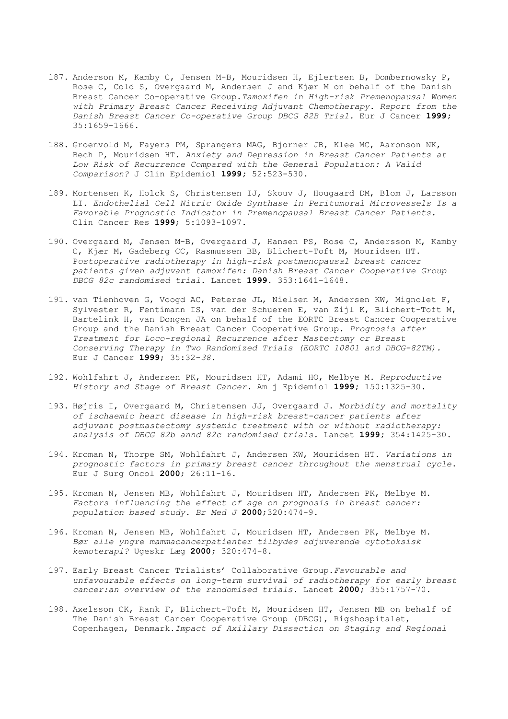- 187. Anderson M, Kamby C, Jensen M-B, Mouridsen H, Ejlertsen B, Dombernowsky P, Rose C, Cold S, Overgaard M, Andersen J and Kjær M on behalf of the Danish Breast Cancer Co-operative Group.*Tamoxifen in High-risk Premenopausal Women with Primary Breast Cancer Receiving Adjuvant Chemotherapy. Report from the Danish Breast Cancer Co-operative Group DBCG 82B Trial.* Eur J Cancer **1999;** 35:1659-1666.
- 188. Groenvold M, Fayers PM, Sprangers MAG, Bjorner JB, Klee MC, Aaronson NK, Bech P, Mouridsen HT. *Anxiety and Depression in Breast Cancer Patients at Low Risk of Recurrence Compared with the General Population: A Valid Comparison?* J Clin Epidemiol **1999;** 52:523-530.
- 189. Mortensen K, Holck S, Christensen IJ, Skouv J, Hougaard DM, Blom J, Larsson LI. *Endothelial Cell Nitric Oxide Synthase in Peritumoral Microvessels Is a Favorable Prognostic Indicator in Premenopausal Breast Cancer Patients.* Clin Cancer Res **1999**; 5:1093-1097.
- 190. Overgaard M, Jensen M-B, Overgaard J, Hansen PS, Rose C, Andersson M, Kamby C, Kjær M, Gadeberg CC, Rasmussen BB, Blichert-Toft M, Mouridsen HT. P*ostoperative radiotherapy in high-risk postmenopausal breast cancer patients given adjuvant tamoxifen: Danish Breast Cancer Cooperative Group DBCG 82c randomised trial.* Lancet **1999**. 353:1641-1648.
- 191. van Tienhoven G, Voogd AC, Peterse JL, Nielsen M, Andersen KW, Mignolet F, Sylvester R, Fentimann IS, van der Schueren E, van Zijl K, Blichert-Toft M, Bartelink H, van Dongen JA on behalf of the EORTC Breast Cancer Cooperative Group and the Danish Breast Cancer Cooperative Group*. Prognosis after Treatment for Loco-regional Recurrence after Mastectomy or Breast Conserving Therapy in Two Randomized Trials (EORTC 10801 and DBCG-82TM).*  Eur J Cancer **1999**; 35:32-*38*.
- 192. Wohlfahrt J, Andersen PK, Mouridsen HT, Adami HO, Melbye M. *Reproductive History and Stage of Breast Cancer.* Am j Epidemiol **1999;** 150:1325-30.
- 193. Højris I, Overgaard M, Christensen JJ, Overgaard J. *Morbidity and mortality of ischaemic heart disease in high-risk breast-cancer patients after adjuvant postmastectomy systemic treatment with or without radiotherapy: analysis of DBCG 82b annd 82c randomised trials.* Lancet **1999;** 354:1425-30.
- 194. Kroman N, Thorpe SM, Wohlfahrt J, Andersen KW, Mouridsen HT. *Variations in prognostic factors in primary breast cancer throughout the menstrual cycle*. Eur J Surg Oncol **2000**; 26:11-16.
- 195. Kroman N, Jensen MB, Wohlfahrt J, Mouridsen HT, Andersen PK, Melbye M. *Factors influencing the effect of age on prognosis in breast cancer: population based study. Br Med J* **2000**;320:474-9.
- 196. Kroman N, Jensen MB, Wohlfahrt J, Mouridsen HT, Andersen PK, Melbye M. *Bør alle yngre mammacancerpatienter tilbydes adjuverende cytotoksisk kemoterapi?* Ugeskr Læg **2000;** 320:474-8.
- 197. Early Breast Cancer Trialists' Collaborative Group.*Favourable and unfavourable effects on long-term survival of radiotherapy for early breast cancer:an overview of the randomised trials.* Lancet **2000;** 355:1757-70.
- 198. Axelsson CK, Rank F, Blichert-Toft M, Mouridsen HT, Jensen MB on behalf of The Danish Breast Cancer Cooperative Group (DBCG), Rigshospitalet, Copenhagen, Denmark.*Impact of Axillary Dissection on Staging and Regional*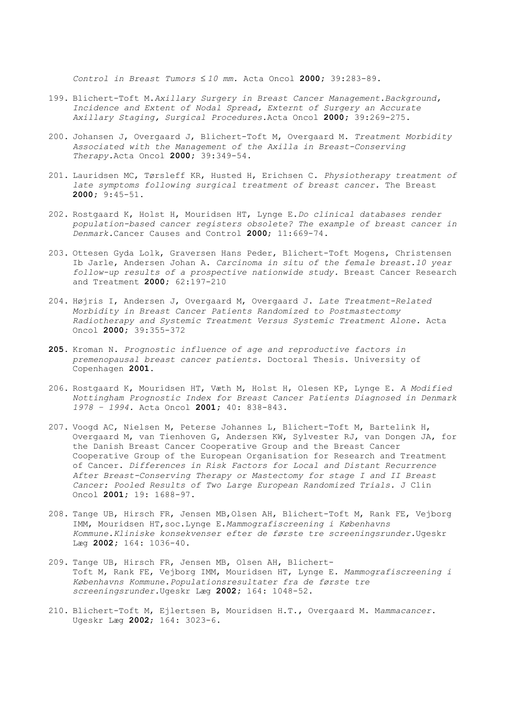*Control in Breast Tumors* ≤ *10 mm.* Acta Oncol **2000;** 39:283-89.

- 199. Blichert-Toft M.*Axillary Surgery in Breast Cancer Management.Background, Incidence and Extent of Nodal Spread, Externt of Surgery an Accurate Axillary Staging, Surgical Procedures.*Acta Oncol **2000;** 39:269-275.
- 200. Johansen J, Overgaard J, Blichert-Toft M, Overgaard M. *Treatment Morbidity Associated with the Management of the Axilla in Breast-Conserving Therapy.*Acta Oncol **2000;** 39:349-54.
- 201. Lauridsen MC, Tørsleff KR, Husted H, Erichsen C. *Physiotherapy treatment of late symptoms following surgical treatment of breast cancer.* The Breast **2000;** 9:45-51.
- 202. Rostgaard K, Holst H, Mouridsen HT, Lynge E.*Do clinical databases render population-based cancer registers obsolete? The example of breast cancer in Denmark.*Cancer Causes and Control **2000**; 11:669-74.
- 203. Ottesen Gyda Lolk, Graversen Hans Peder, Blichert-Toft Mogens, Christensen Ib Jarle, Andersen Johan A. *Carcinoma in situ of the female breast.10 year follow-up results of a prospective nationwide study.* Breast Cancer Research and Treatment **2000;** 62:197-210
- 204. Højris I, Andersen J, Overgaard M, Overgaard J. *Late Treatment-Related Morbidity in Breast Cancer Patients Randomized to Postmastectomy Radiotherapy and Systemic Treatment Versus Systemic Treatment Alone.* Acta Oncol **2000;** 39:355-372
- **205.** Kroman N. *Prognostic influence of age and reproductive factors in premenopausal breast cancer patients*. Doctoral Thesis. University of Copenhagen **2001.**
- 206. Rostgaard K, Mouridsen HT, Væth M, Holst H, Olesen KP, Lynge E. *A Modified Nottingham Prognostic Index for Breast Cancer Patients Diagnosed in Denmark 1978 – 1994.* Acta Oncol **2001;** 40: 838-843.
- 207. Voogd AC, Nielsen M, Peterse Johannes L, Blichert-Toft M, Bartelink H, Overgaard M, van Tienhoven G, Andersen KW, Sylvester RJ, van Dongen JA, for the Danish Breast Cancer Cooperative Group and the Breast Cancer Cooperative Group of the European Organisation for Research and Treatment of Cancer. *Differences in Risk Factors for Local and Distant Recurrence After Breast-Conserving Therapy or Mastectomy for stage I and II Breast Cancer: Pooled Results of Two Large European Randomized Trials.* J Clin Oncol **2001;** 19: 1688-97.
- 208. Tange UB, Hirsch FR, Jensen MB,Olsen AH, Blichert-Toft M, Rank FE, Vejborg IMM, Mouridsen HT,soc.Lynge E.*Mammografiscreening i Københavns Kommune.Kliniske konsekvenser efter de første tre screeningsrunder.*Ugeskr Læg **2002;** 164: 1036-40.
- 209. Tange UB, Hirsch FR, Jensen MB, Olsen AH, Blichert-Toft M, Rank FE, Vejborg IMM, Mouridsen HT, Lynge E. *Mammografiscreening i Københavns Kommune.Populationsresultater fra de første tre screeningsrunder.*Ugeskr Læg **2002;** 164: 1048-52.
- 210. Blichert-Toft M, Ejlertsen B, Mouridsen H.T., Overgaard M. M*ammacancer*. Ugeskr Læg **2002**; 164: 3023-6.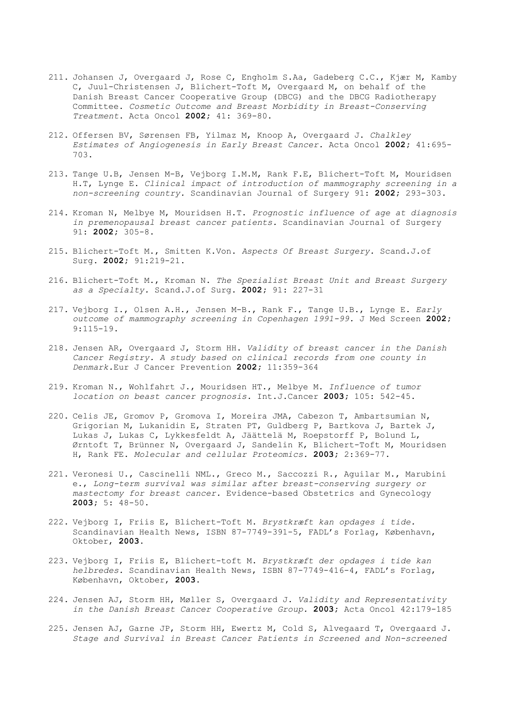- 211. Johansen J, Overgaard J, Rose C, Engholm S.Aa, Gadeberg C.C., Kjær M, Kamby C, Juul-Christensen J, Blichert-Toft M, Overgaard M, on behalf of the Danish Breast Cancer Cooperative Group (DBCG) and the DBCG Radiotherapy Committee. *Cosmetic Outcome and Breast Morbidity in Breast-Conserving Treatment*. Acta Oncol **2002;** 41: 369-80.
- 212. Offersen BV, Sørensen FB, Yilmaz M, Knoop A, Overgaard J. *Chalkley Estimates of Angiogenesis in Early Breast Cancer.* Acta Oncol **2002;** 41:695- 703.
- 213. Tange U.B, Jensen M-B, Vejborg I.M.M, Rank F.E, Blichert-Toft M, Mouridsen H.T, Lynge E. *Clinical impact of introduction of mammography screening in a non-screening country.* Scandinavian Journal of Surgery 91: **2002;** 293-303.
- 214. Kroman N, Melbye M, Mouridsen H.T. *Prognostic influence of age at diagnosis in premenopausal breast cancer patients.* Scandinavian Journal of Surgery 91: **2002;** 305-8.
- 215. Blichert-Toft M., Smitten K.Von. *Aspects Of Breast Surgery.* Scand.J.of Surg. **2002;** 91:219-21.
- 216. Blichert-Toft M., Kroman N. *The Spezialist Breast Unit and Breast Surgery as a Specialty.* Scand.J.of Surg. **2002;** 91: 227-31
- 217. Vejborg I., Olsen A.H., Jensen M-B., Rank F., Tange U.B., Lynge E. *Early outcome of mammography screening in Copenhagen 1991-99.* J Med Screen **2002;**  9:115-19.
- 218. Jensen AR, Overgaard J, Storm HH. *Validity of breast cancer in the Danish Cancer Registry. A study based on clinical records from one county in Denmark.*Eur J Cancer Prevention **2002;** 11:359-364
- 219. Kroman N., Wohlfahrt J., Mouridsen HT., Melbye M. *Influence of tumor location on beast cancer prognosis.* Int.J.Cancer **2003;** 105: 542-45.
- 220. Celis JE, Gromov P, Gromova I, Moreira JMA, Cabezon T, Ambartsumian N, Grigorian M, Lukanidin E, Straten PT, Guldberg P, Bartkova J, Bartek J, Lukas J, Lukas C, Lykkesfeldt A, Jäättelä M, Roepstorff P, Bolund L, Ørntoft T, Brünner N, Overgaard J, Sandelin K, Blichert-Toft M, Mouridsen H, Rank FE. *Molecular and cellular Proteomics.* **2003;** 2:369-77.
- 221. Veronesi U., Cascinelli NML., Greco M., Saccozzi R., Aguilar M., Marubini e., *Long-term survival was similar after breast-conserving surgery or mastectomy for breast cancer.* Evidence-based Obstetrics and Gynecology **2003;** 5: 48-50.
- 222. Vejborg I, Friis E, Blichert-Toft M. *Brystkræft kan opdages i tide.*  Scandinavian Health News, ISBN 87-7749-391-5, FADL's Forlag, København, Oktober, **2003.**
- 223. Vejborg I, Friis E, Blichert-toft M. *Brystkræft der opdages i tide kan helbredes.* Scandinavian Health News, ISBN 87-7749-416-4, FADL's Forlag, København, Oktober, **2003.**
- 224. Jensen AJ, Storm HH, Møller S, Overgaard J. *Validity and Representativity in the Danish Breast Cancer Cooperative Group.* **2003;** Acta Oncol 42:179-185
- 225. Jensen AJ, Garne JP, Storm HH, Ewertz M, Cold S, Alvegaard T, Overgaard J. *Stage and Survival in Breast Cancer Patients in Screened and Non-screened*